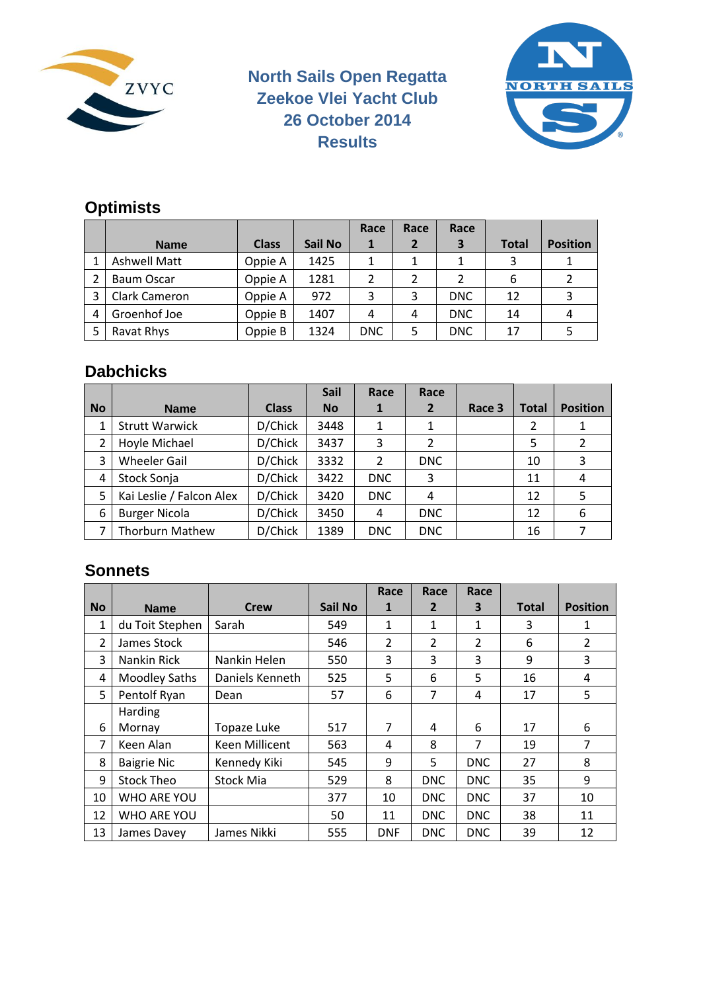

#### **North Sails Open Regatta Zeekoe Vlei Yacht Club 26 October 2014 Results**



## **Optimists**

|   |               |              |                | Race         | Race           | Race       |              |                 |
|---|---------------|--------------|----------------|--------------|----------------|------------|--------------|-----------------|
|   | <b>Name</b>   | <b>Class</b> | <b>Sail No</b> | $\mathbf{1}$ | $\overline{2}$ | 3          | <b>Total</b> | <b>Position</b> |
|   | Ashwell Matt  | Oppie A      | 1425           | 1            |                |            | 3            |                 |
|   | Baum Oscar    | Oppie A      | 1281           | 2            | 2              |            | 6            |                 |
|   | Clark Cameron | Oppie A      | 972            | 3            | 3              | <b>DNC</b> | 12           |                 |
| 4 | Groenhof Joe  | Oppie B      | 1407           | 4            | 4              | <b>DNC</b> | 14           |                 |
|   | Ravat Rhys    | Oppie B      | 1324           | <b>DNC</b>   | 5              | <b>DNC</b> | 17           |                 |

#### **Dabchicks**

|           |                          |              | <b>Sail</b> | Race       | Race         |        |              |                 |
|-----------|--------------------------|--------------|-------------|------------|--------------|--------|--------------|-----------------|
| <b>No</b> | <b>Name</b>              | <b>Class</b> | <b>No</b>   | 1          | $\mathbf{2}$ | Race 3 | <b>Total</b> | <b>Position</b> |
|           | <b>Strutt Warwick</b>    | D/Chick      | 3448        | 1          |              |        | 2            |                 |
|           | Hoyle Michael            | D/Chick      | 3437        | 3          | 2            |        | 5            |                 |
| 3         | <b>Wheeler Gail</b>      | D/Chick      | 3332        | 2          | <b>DNC</b>   |        | 10           | 3               |
| 4         | Stock Sonja              | D/Chick      | 3422        | <b>DNC</b> | 3            |        | 11           | 4               |
| 5         | Kai Leslie / Falcon Alex | D/Chick      | 3420        | <b>DNC</b> | 4            |        | 12           | 5               |
| 6         | <b>Burger Nicola</b>     | D/Chick      | 3450        | 4          | <b>DNC</b>   |        | 12           | 6               |
|           | <b>Thorburn Mathew</b>   | D/Chick      | 1389        | <b>DNC</b> | <b>DNC</b>   |        | 16           |                 |

#### **Sonnets**

|           |                      |                 |         | Race           | Race           | Race           |              |                 |
|-----------|----------------------|-----------------|---------|----------------|----------------|----------------|--------------|-----------------|
| <b>No</b> | <b>Name</b>          | <b>Crew</b>     | Sail No | 1              | $\mathbf{2}$   | 3              | <b>Total</b> | <b>Position</b> |
| 1         | du Toit Stephen      | Sarah           | 549     | 1              | 1              | 1              | 3            | 1               |
| 2         | James Stock          |                 | 546     | $\overline{2}$ | $\overline{2}$ | $\overline{2}$ | 6            | $\overline{2}$  |
| 3         | Nankin Rick          | Nankin Helen    | 550     | 3              | 3              | 3              | 9            | 3               |
| 4         | <b>Moodley Saths</b> | Daniels Kenneth | 525     | 5              | 6              | 5              | 16           | 4               |
| 5         | Pentolf Ryan         | Dean            | 57      | 6              | 7              | $\overline{4}$ | 17           | 5               |
|           | <b>Harding</b>       |                 |         |                |                |                |              |                 |
| 6         | Mornay               | Topaze Luke     | 517     | 7              | 4              | 6              | 17           | 6               |
| 7         | Keen Alan            | Keen Millicent  | 563     | 4              | 8              | 7              | 19           | 7               |
| 8         | <b>Baigrie Nic</b>   | Kennedy Kiki    | 545     | 9              | 5              | <b>DNC</b>     | 27           | 8               |
| 9         | <b>Stock Theo</b>    | Stock Mia       | 529     | 8              | <b>DNC</b>     | <b>DNC</b>     | 35           | 9               |
| 10        | WHO ARE YOU          |                 | 377     | 10             | <b>DNC</b>     | <b>DNC</b>     | 37           | 10              |
| 12        | WHO ARE YOU          |                 | 50      | 11             | <b>DNC</b>     | <b>DNC</b>     | 38           | 11              |
| 13        | James Davey          | James Nikki     | 555     | <b>DNF</b>     | DNC.           | <b>DNC</b>     | 39           | 12              |